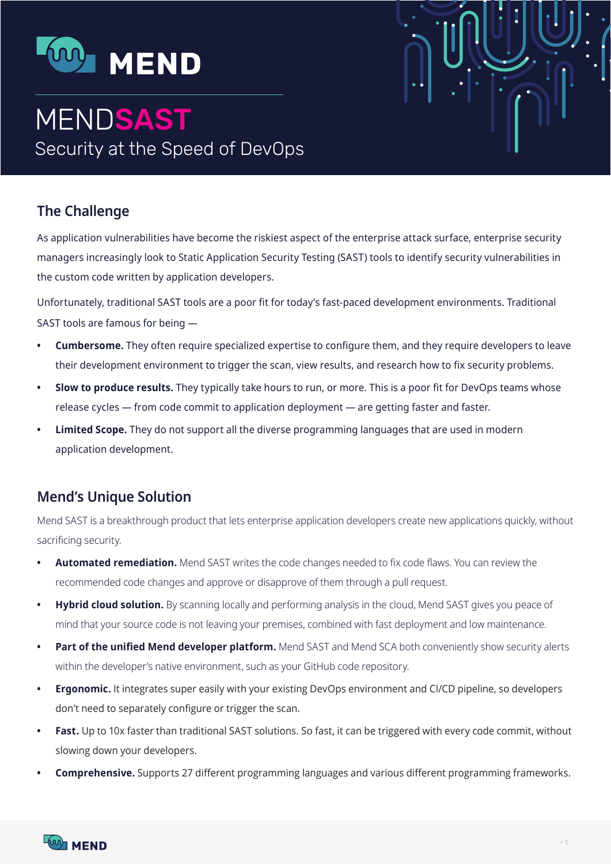

# **MENDSAST** Security at the Speed of DevOps

# **The Challenge**

As application vulnerabilities have become the riskiest aspect of the enterprise attack surface, enterprise security managers increasingly look to Static Application Security Testing (SAST) tools to identify security vulnerabilities in the custom code written by application developers.

Unfortunately, traditional SAST tools are a poor fit for today's fast-paced development environments. Traditional SAST tools are famous for being  $-$ 

- **Cumbersome.** They often require specialized expertise to configure them, and they require developers to leave their development environment to trigger the scan, view results, and research how to fix security problems.
- **Slow to produce results.** They typically take hours to run, or more. This is a poor fit for DevOps teams whose release cycles — from code commit to application deployment — are getting faster and faster.
- **Emited Scope.** They do not support all the diverse programming languages that are used in modern application development.

# **Mend's Unique Solution**

Mend SAST is a breakthrough product that lets enterprise application developers create new applications quickly, without sacrificing security.

- Automated remediation. Mend SAST writes the code changes needed to fix code flaws. You can review the recommended code changes and approve or disapprove of them through a pull request.
- Hybrid cloud solution. By scanning locally and performing analysis in the cloud, Mend SAST gives you peace of mind that your source code is not leaving your premises, combined with fast deployment and low maintenance.
- **Part of the unified Mend developer platform.** Mend SAST and Mend SCA both conveniently show security alerts within the developer's native environment, such as your GitHub code repository.
- **Ergonomic.** It integrates super easily with your existing DevOps environment and CI/CD pipeline, so developers don't need to separately configure or trigger the scan.
- **East.** Up to 10x faster than traditional SAST solutions. So fast, it can be triggered with every code commit, without slowing down your developers.
- **Comprehensive.** Supports 27 different programming languages and various different programming frameworks.